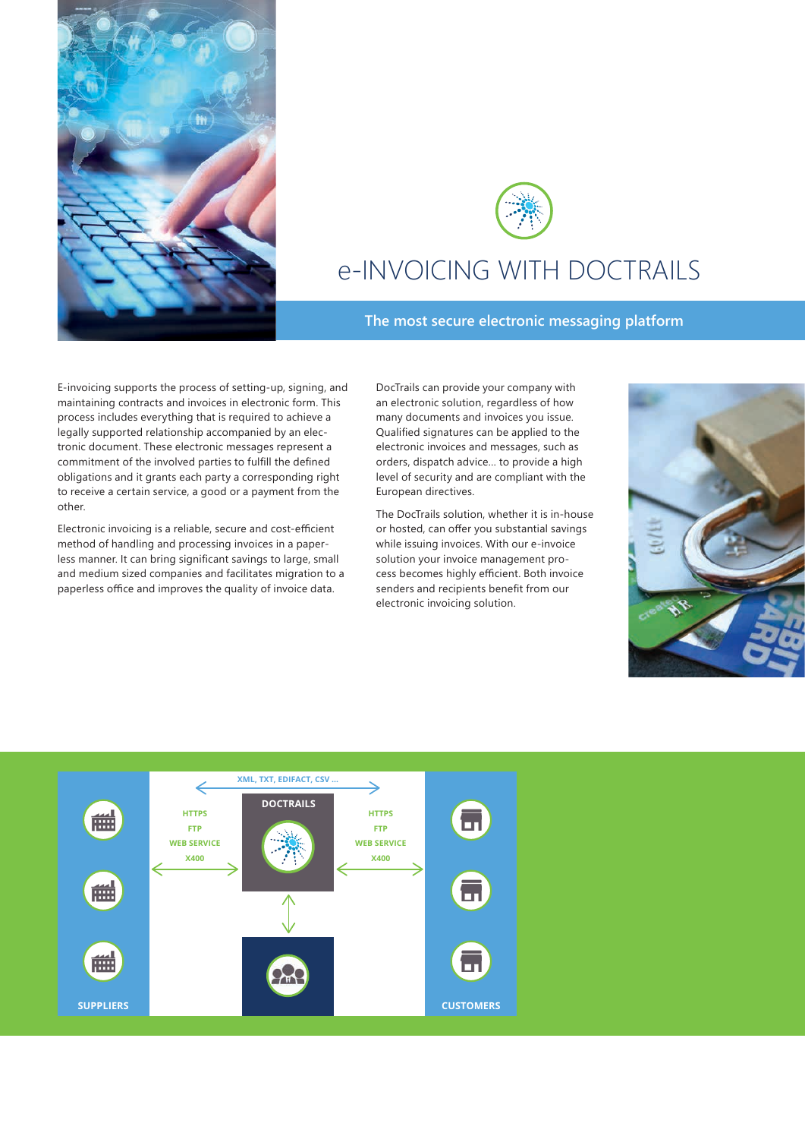



# e-INVOICING WITH DOCTRAILS

### **The most secure electronic messaging platform**

E-invoicing supports the process of setting-up, signing, and maintaining contracts and invoices in electronic form. This process includes everything that is required to achieve a legally supported relationship accompanied by an electronic document. These electronic messages represent a commitment of the involved parties to fulfill the defined obligations and it grants each party a corresponding right to receive a certain service, a good or a payment from the other.

Electronic invoicing is a reliable, secure and cost-efficient method of handling and processing invoices in a paperless manner. It can bring significant savings to large, small and medium sized companies and facilitates migration to a paperless office and improves the quality of invoice data.

DocTrails can provide your company with an electronic solution, regardless of how many documents and invoices you issue. Qualified signatures can be applied to the electronic invoices and messages, such as orders, dispatch advice… to provide a high level of security and are compliant with the European directives.

The DocTrails solution, whether it is in-house or hosted, can offer you substantial savings while issuing invoices. With our e-invoice solution your invoice management process becomes highly efficient. Both invoice senders and recipients benefit from our electronic invoicing solution.



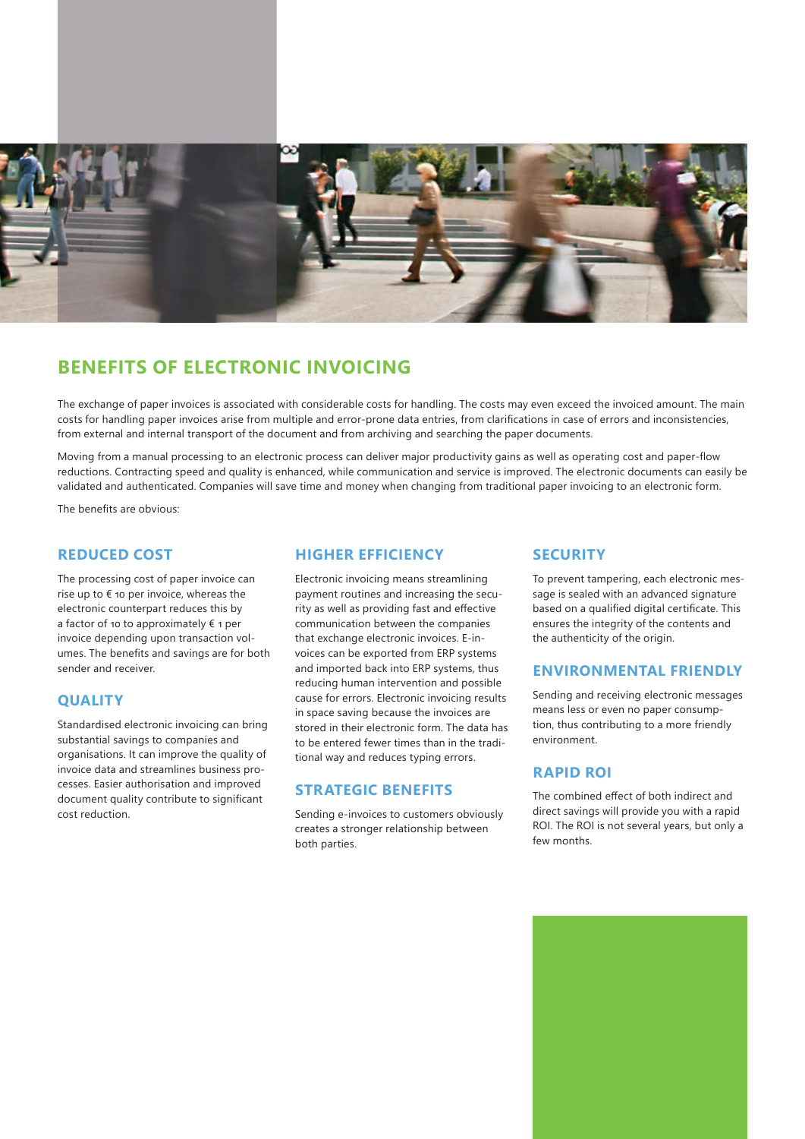

# **BENEFITS OF ELECTRONIC INVOICING**

The exchange of paper invoices is associated with considerable costs for handling. The costs may even exceed the invoiced amount. The main costs for handling paper invoices arise from multiple and error-prone data entries, from clarifications in case of errors and inconsistencies, from external and internal transport of the document and from archiving and searching the paper documents.

Moving from a manual processing to an electronic process can deliver major productivity gains as well as operating cost and paper-flow reductions. Contracting speed and quality is enhanced, while communication and service is improved. The electronic documents can easily be validated and authenticated. Companies will save time and money when changing from traditional paper invoicing to an electronic form.

The benefits are obvious:

# **REDUCED COST**

The processing cost of paper invoice can rise up to  $\epsilon$  10 per invoice, whereas the electronic counterpart reduces this by a factor of 10 to approximately € 1 per invoice depending upon transaction volumes. The benefits and savings are for both sender and receiver.

### **QUALITY**

Standardised electronic invoicing can bring substantial savings to companies and organisations. It can improve the quality of invoice data and streamlines business processes. Easier authorisation and improved document quality contribute to significant cost reduction.

### **HIGHER EFFICIENCY**

Electronic invoicing means streamlining payment routines and increasing the security as well as providing fast and effective communication between the companies that exchange electronic invoices. E-invoices can be exported from ERP systems and imported back into ERP systems, thus reducing human intervention and possible cause for errors. Electronic invoicing results in space saving because the invoices are stored in their electronic form. The data has to be entered fewer times than in the traditional way and reduces typing errors.

### **STRATEGIC BENEFITS**

Sending e-invoices to customers obviously creates a stronger relationship between both parties.

### **SECURITY**

To prevent tampering, each electronic message is sealed with an advanced signature based on a qualified digital certificate. This ensures the integrity of the contents and the authenticity of the origin.

#### **ENVIRONMENTAL FRIENDLY**

Sending and receiving electronic messages means less or even no paper consumption, thus contributing to a more friendly environment.

# **RAPID ROI**

The combined effect of both indirect and direct savings will provide you with a rapid ROI. The ROI is not several years, but only a few months.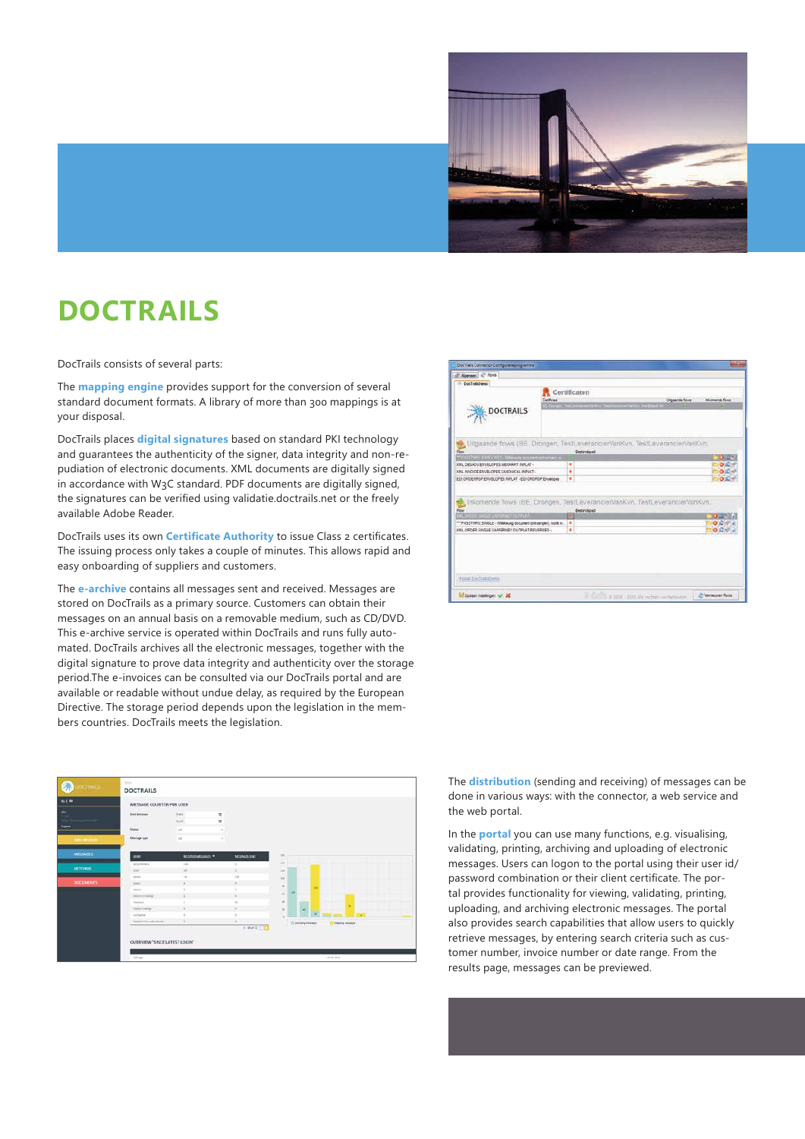

# **DOCTRAILS**

DocTrails consists of several parts:

The **mapping engine** provides support for the conversion of several standard document formats. A library of more than 300 mappings is at your disposal.

DocTrails places **digital signatures** based on standard PKI technology and guarantees the authenticity of the signer, data integrity and non-repudiation of electronic documents. XML documents are digitally signed in accordance with W3C standard. PDF documents are digitally signed, the signatures can be verified using validatie.doctrails.net or the freely available Adobe Reader.

DocTrails uses its own **Certificate Authority** to issue Class 2 certificates. The issuing process only takes a couple of minutes. This allows rapid and easy onboarding of suppliers and customers.

The **e-archive** contains all messages sent and received. Messages are stored on DocTrails as a primary source. Customers can obtain their messages on an annual basis on a removable medium, such as CD/DVD. This e-archive service is operated within DocTrails and runs fully automated. DocTrails archives all the electronic messages, together with the digital signature to prove data integrity and authenticity over the storage period.The e-invoices can be consulted via our DocTrails portal and are available or readable without undue delay, as required by the European Directive. The storage period depends upon the legislation in the members countries. DocTrails meets the legislation.

| DocTrainDemo                                                                                                          |                                                                                              |                 |                 |
|-----------------------------------------------------------------------------------------------------------------------|----------------------------------------------------------------------------------------------|-----------------|-----------------|
|                                                                                                                       | Certificaten<br>Certifican<br>H. Durger Testbewasser/Solicit TestbowscowVarilia Ver@isch for | Utgaande figura | Inkomende flows |
| <b>DOCTRAILS</b>                                                                                                      |                                                                                              |                 |                 |
|                                                                                                                       | Ultgaande flows (BE, Drongen, TestLeverancierVanKvn, TestLeverancierVanKvn,<br>Destandantel  |                 |                 |
| " PASSTHELLER/GOPES-Webmag decame sensegari +                                                                         |                                                                                              |                 | <b>DELL'</b>    |
| <b>338L DESADV ENVELOPES MEXIMART INPLAT -</b>                                                                        | ٠                                                                                            |                 | O(E)            |
| XML INVOICE ENVELOPES CANONICAL INPLAT -                                                                              | ٠                                                                                            |                 | $O(\sqrt{2})$   |
|                                                                                                                       | ٠                                                                                            |                 |                 |
| Rois                                                                                                                  | Inkomende flows (BE, Drongen, TestLeverancierVanKvn, TestLeverancierVanKvn,<br>Bestandscad   |                 | O <sub>1</sub>  |
| <b>OF OKCER SHOLE LUXIERS COUTFLAT-</b>                                                                               |                                                                                              |                 | <b>During</b>   |
| EDI DROERRSP ENVELOPES IMPLAT - EDI ORDRSP Envelopes<br>*** PASSTHRU SINGLE / Winkeung document loctvangen), wordt m. | ٠                                                                                            |                 | O <sub>n</sub>  |
| <b>XML ORDER SINGLE SAPERNEY OUTPLAT REVERSED -</b>                                                                   | ٠                                                                                            |                 | $O R +$         |
|                                                                                                                       |                                                                                              |                 |                 |
|                                                                                                                       |                                                                                              |                 |                 |
|                                                                                                                       |                                                                                              |                 |                 |
|                                                                                                                       |                                                                                              |                 |                 |
| Podail Dist Trailifbeno                                                                                               |                                                                                              |                 |                 |

|                                    | MESSAGE COUNTER PER USER       |                          |              |                    |               |            |                       |                         |  |
|------------------------------------|--------------------------------|--------------------------|--------------|--------------------|---------------|------------|-----------------------|-------------------------|--|
|                                    |                                |                          |              |                    |               |            |                       |                         |  |
|                                    | <b>Sint lustanes</b>           | Fiers.                   | $\equiv$     |                    |               |            |                       |                         |  |
|                                    |                                | trick!                   | $\mathbf{m}$ |                    |               |            |                       |                         |  |
|                                    | <b>Alakan</b>                  | $\sim$                   |              |                    |               |            |                       |                         |  |
| CASHIKIAKO                         | Alexings tupe                  | $1 - 1 - 1$<br><b>Ad</b> |              |                    |               |            |                       |                         |  |
| - -                                |                                |                          |              |                    |               |            |                       |                         |  |
| <b>Williams</b><br><b>MESSAGES</b> | <b>BAME</b>                    | <b>BUSINESSESSION</b>    |              | <b>MEZIAGELMAT</b> | $_{\rm ini}$  |            |                       |                         |  |
|                                    | <b>Jeanford</b>                | 140                      |              | ٠                  | ×<br>ies      |            |                       |                         |  |
| SETTINGS                           | Address of                     | w                        |              |                    | int.          |            |                       |                         |  |
|                                    | <b>STATE</b>                   | ٠                        |              | <b>TIME</b>        | 104           |            |                       |                         |  |
| <b>COCLIMBUS</b>                   | promote                        | ×                        |              | ×                  |               |            |                       |                         |  |
|                                    | <b>Internet</b>                |                          |              |                    | $\frac{1}{2}$ |            | m                     |                         |  |
|                                    | <b>Control &amp; Contrar</b>   |                          |              |                    |               | <b>TIP</b> |                       |                         |  |
|                                    | <b>Carried</b>                 |                          |              |                    | $\omega$      |            |                       |                         |  |
|                                    | Committee Park                 | $\alpha$                 |              |                    | $\equiv$      |            |                       |                         |  |
|                                    | motivene                       |                          |              |                    | ×             |            |                       |                         |  |
|                                    | <b>District Severity Syste</b> |                          |              |                    |               |            | <b>Планина меняем</b> | <b>Columns Prizeson</b> |  |
|                                    |                                |                          |              | $3 - 16 + 73 = 12$ |               |            |                       |                         |  |

The **distribution** (sending and receiving) of messages can be done in various ways: with the connector, a web service and the web portal.

In the **portal** you can use many functions, e.g. visualising, validating, printing, archiving and uploading of electronic messages. Users can logon to the portal using their user id/ password combination or their client certificate. The portal provides functionality for viewing, validating, printing, uploading, and archiving electronic messages. The portal also provides search capabilities that allow users to quickly retrieve messages, by entering search criteria such as customer number, invoice number or date range. From the results page, messages can be previewed.